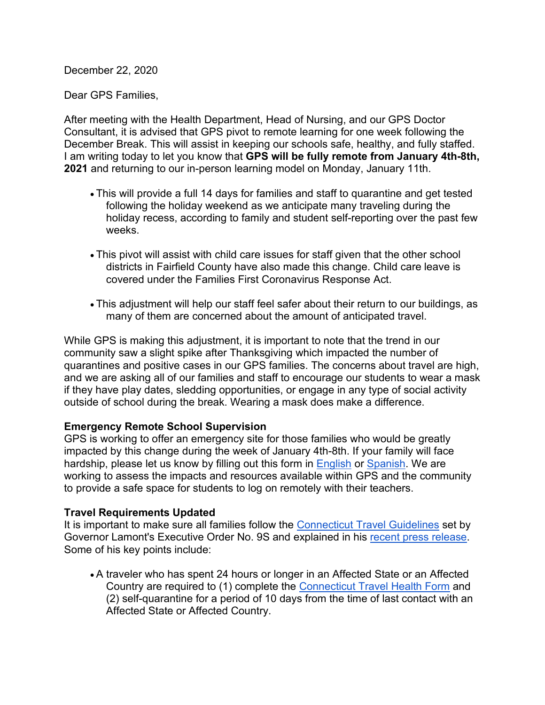December 22, 2020

Dear GPS Families,

After meeting with the Health Department, Head of Nursing, and our GPS Doctor Consultant, it is advised that GPS pivot to remote learning for one week following the December Break. This will assist in keeping our schools safe, healthy, and fully staffed. I am writing today to let you know that **GPS will be fully remote from January 4th-8th, 2021** and returning to our in-person learning model on Monday, January 11th.

- This will provide a full 14 days for families and staff to quarantine and get tested following the holiday weekend as we anticipate many traveling during the holiday recess, according to family and student self-reporting over the past few weeks.
- This pivot will assist with child care issues for staff given that the other school districts in Fairfield County have also made this change. Child care leave is covered under the Families First Coronavirus Response Act.
- This adjustment will help our staff feel safer about their return to our buildings, as many of them are concerned about the amount of anticipated travel.

While GPS is making this adjustment, it is important to note that the trend in our community saw a slight spike after Thanksgiving which impacted the number of quarantines and positive cases in our GPS families. The concerns about travel are high, and we are asking all of our families and staff to encourage our students to wear a mask if they have play dates, sledding opportunities, or engage in any type of social activity outside of school during the break. Wearing a mask does make a difference.

## **Emergency Remote School Supervision**

GPS is working to offer an emergency site for those families who would be greatly impacted by this change during the week of January 4th-8th. If your family will face hardship, please let us know by filling out this form in [English](https://docs.google.com/forms/d/e/1FAIpQLSdP_KpPdPQ4x1F8r4cYwVD5ijsq1w5bq2C1Id8pLTC47Hd8Og/viewform?gxids=7628) or [Spanish.](https://docs.google.com/forms/d/e/1FAIpQLSdJrsMPHYH2h48oHQVm-b_JtagiztuCAjivEKUbH8D7io9ENg/viewform?gxids=7628) We are working to assess the impacts and resources available within GPS and the community to provide a safe space for students to log on remotely with their teachers.

## **Travel Requirements Updated**

It is important to make sure all families follow the [Connecticut Travel Guidelines](https://portal.ct.gov/Coronavirus/travel) set by Governor Lamont's Executive Order No. 9S and explained in his [recent press release.](https://portal.ct.gov/Office-of-the-Governor/News/Press-Releases/2020/12-2020/Governor-Lamont-Implements-New-Guidelines-for-Connecticuts-COVID-19-Travel-Advisory) Some of his key points include:

• A traveler who has spent 24 hours or longer in an Affected State or an Affected Country are required to (1) complete the [Connecticut Travel Health Form](https://appengine.egov.com/apps/ct/DPH/Connecticut-Travel-Health-Form) and (2) self-quarantine for a period of 10 days from the time of last contact with an Affected State or Affected Country.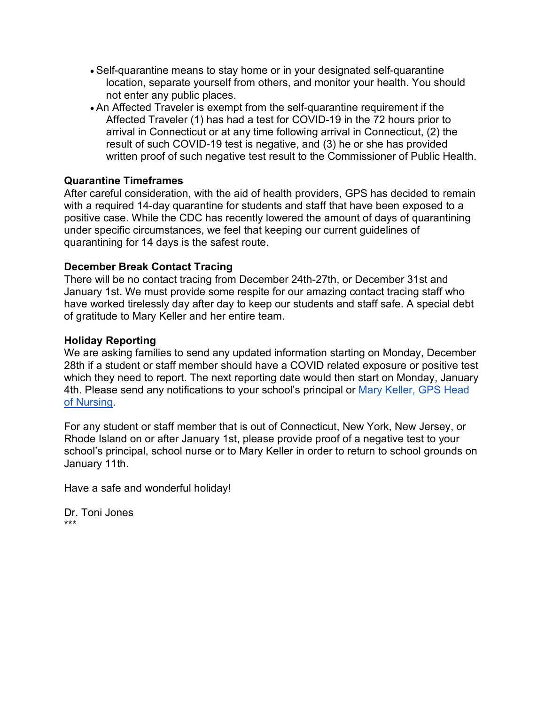- Self-quarantine means to stay home or in your designated self-quarantine location, separate yourself from others, and monitor your health. You should not enter any public places.
- An Affected Traveler is exempt from the self-quarantine requirement if the Affected Traveler (1) has had a test for COVID-19 in the 72 hours prior to arrival in Connecticut or at any time following arrival in Connecticut, (2) the result of such COVID-19 test is negative, and (3) he or she has provided written proof of such negative test result to the Commissioner of Public Health.

## **Quarantine Timeframes**

After careful consideration, with the aid of health providers, GPS has decided to remain with a required 14-day quarantine for students and staff that have been exposed to a positive case. While the CDC has recently lowered the amount of days of quarantining under specific circumstances, we feel that keeping our current guidelines of quarantining for 14 days is the safest route.

## **December Break Contact Tracing**

There will be no contact tracing from December 24th-27th, or December 31st and January 1st. We must provide some respite for our amazing contact tracing staff who have worked tirelessly day after day to keep our students and staff safe. A special debt of gratitude to Mary Keller and her entire team.

## **Holiday Reporting**

We are asking families to send any updated information starting on Monday, December 28th if a student or staff member should have a COVID related exposure or positive test which they need to report. The next reporting date would then start on Monday, January 4th. Please send any notifications to your school's principal or [Mary Keller, GPS Head](mailto:mary_keller@greenwich.k12.ct.us)  [of Nursing.](mailto:mary_keller@greenwich.k12.ct.us)

For any student or staff member that is out of Connecticut, New York, New Jersey, or Rhode Island on or after January 1st, please provide proof of a negative test to your school's principal, school nurse or to Mary Keller in order to return to school grounds on January 11th.

Have a safe and wonderful holiday!

Dr. Toni Jones \*\*\*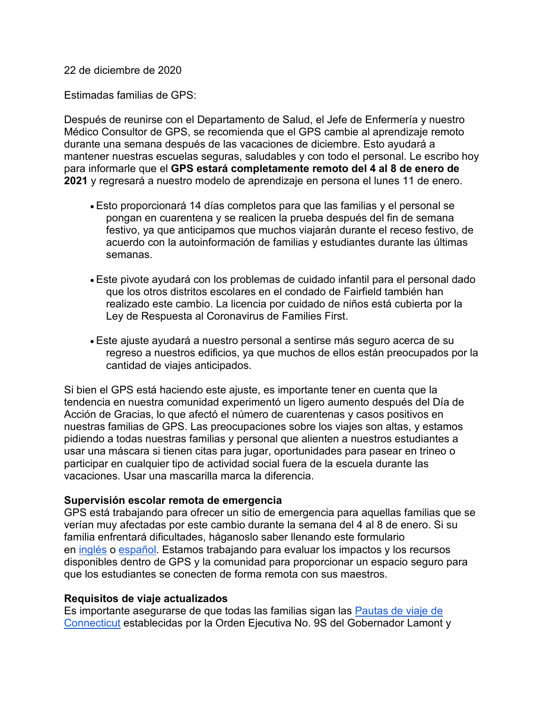22 de diciembre de 2020

Estimadas familias de GPS:

Después de reunirse con el Departamento de Salud, el Jefe de Enfermería y nuestro Médico Consultor de GPS, se recomienda que el GPS cambie al aprendizaje remoto durante una semana después de las vacaciones de diciembre. Esto ayudará a mantener nuestras escuelas seguras, saludables y con todo el personal. Le escribo hoy para informarle que el **GPS estará completamente remoto del 4 al 8 de enero de 2021** y regresará a nuestro modelo de aprendizaje en persona el lunes 11 de enero.

- Esto proporcionará 14 días completos para que las familias y el personal se pongan en cuarentena y se realicen la prueba después del fin de semana festivo, ya que anticipamos que muchos viajarán durante el receso festivo, de acuerdo con la autoinformación de familias y estudiantes durante las últimas semanas.
- Este pivote ayudará con los problemas de cuidado infantil para el personal dado que los otros distritos escolares en el condado de Fairfield también han realizado este cambio. La licencia por cuidado de niños está cubierta por la Ley de Respuesta al Coronavirus de Families First.
- Este ajuste ayudará a nuestro personal a sentirse más seguro acerca de su regreso a nuestros edificios, ya que muchos de ellos están preocupados por la cantidad de viajes anticipados.

Si bien el GPS está haciendo este ajuste, es importante tener en cuenta que la tendencia en nuestra comunidad experimentó un ligero aumento después del Día de Acción de Gracias, lo que afectó el número de cuarentenas y casos positivos en nuestras familias de GPS. Las preocupaciones sobre los viajes son altas, y estamos pidiendo a todas nuestras familias y personal que alienten a nuestros estudiantes a usar una máscara si tienen citas para jugar, oportunidades para pasear en trineo o participar en cualquier tipo de actividad social fuera de la escuela durante las vacaciones. Usar una mascarilla marca la diferencia.

## **Supervisión escolar remota de emergencia**

GPS está trabajando para ofrecer un sitio de emergencia para aquellas familias que se verían muy afectadas por este cambio durante la semana del 4 al 8 de enero. Si su familia enfrentará dificultades, háganoslo saber llenando este formulario en [inglés](https://docs.google.com/forms/d/e/1FAIpQLSdP_KpPdPQ4x1F8r4cYwVD5ijsq1w5bq2C1Id8pLTC47Hd8Og/viewform?gxids=7628) o [español.](https://docs.google.com/forms/d/e/1FAIpQLSdJrsMPHYH2h48oHQVm-b_JtagiztuCAjivEKUbH8D7io9ENg/viewform?gxids=7628) Estamos trabajando para evaluar los impactos y los recursos disponibles dentro de GPS y la comunidad para proporcionar un espacio seguro para que los estudiantes se conecten de forma remota con sus maestros.

## **Requisitos de viaje actualizados**

Es importante asegurarse de que todas las familias sigan las Pautas de viaje de [Connecticut](https://portal.ct.gov/Coronavirus/travel) establecidas por la Orden Ejecutiva No. 9S del Gobernador Lamont y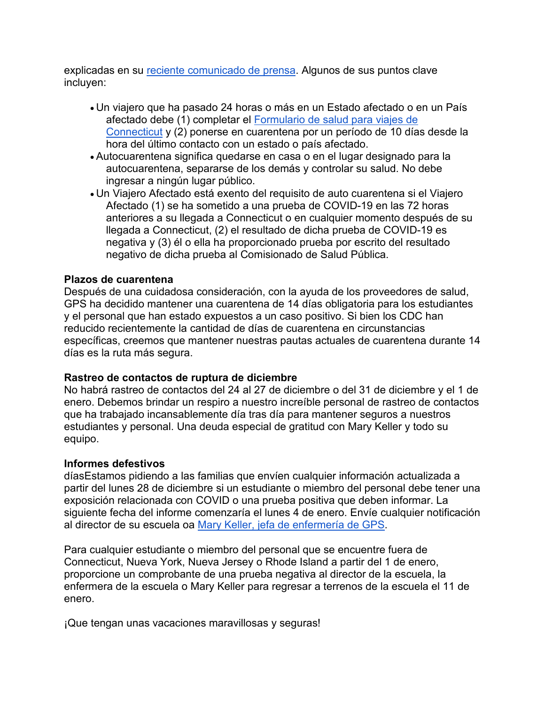explicadas en su [reciente comunicado de prensa.](https://portal.ct.gov/Office-of-the-Governor/News/Press-Releases/2020/12-2020/Governor-Lamont-Implements-New-Guidelines-for-Connecticuts-COVID-19-Travel-Advisory) Algunos de sus puntos clave incluyen:

- Un viajero que ha pasado 24 horas o más en un Estado afectado o en un País afectado debe (1) completar el [Formulario de salud para viajes de](https://appengine.egov.com/apps/ct/DPH/Connecticut-Travel-Health-Form)  [Connecticut](https://appengine.egov.com/apps/ct/DPH/Connecticut-Travel-Health-Form) y (2) ponerse en cuarentena por un período de 10 días desde la hora del último contacto con un estado o país afectado.
- Autocuarentena significa quedarse en casa o en el lugar designado para la autocuarentena, separarse de los demás y controlar su salud. No debe ingresar a ningún lugar público.
- Un Viajero Afectado está exento del requisito de auto cuarentena si el Viajero Afectado (1) se ha sometido a una prueba de COVID-19 en las 72 horas anteriores a su llegada a Connecticut o en cualquier momento después de su llegada a Connecticut, (2) el resultado de dicha prueba de COVID-19 es negativa y (3) él o ella ha proporcionado prueba por escrito del resultado negativo de dicha prueba al Comisionado de Salud Pública.

#### **Plazos de cuarentena**

Después de una cuidadosa consideración, con la ayuda de los proveedores de salud, GPS ha decidido mantener una cuarentena de 14 días obligatoria para los estudiantes y el personal que han estado expuestos a un caso positivo. Si bien los CDC han reducido recientemente la cantidad de días de cuarentena en circunstancias específicas, creemos que mantener nuestras pautas actuales de cuarentena durante 14 días es la ruta más segura.

#### **Rastreo de contactos de ruptura de diciembre**

No habrá rastreo de contactos del 24 al 27 de diciembre o del 31 de diciembre y el 1 de enero. Debemos brindar un respiro a nuestro increíble personal de rastreo de contactos que ha trabajado incansablemente día tras día para mantener seguros a nuestros estudiantes y personal. Una deuda especial de gratitud con Mary Keller y todo su equipo.

#### **Informes defestivos**

díasEstamos pidiendo a las familias que envíen cualquier información actualizada a partir del lunes 28 de diciembre si un estudiante o miembro del personal debe tener una exposición relacionada con COVID o una prueba positiva que deben informar. La siguiente fecha del informe comenzaría el lunes 4 de enero. Envíe cualquier notificación al director de su escuela oa [Mary Keller, jefa de enfermería de GPS.](mailto:mary_keller@greenwich.k12.ct.us)

Para cualquier estudiante o miembro del personal que se encuentre fuera de Connecticut, Nueva York, Nueva Jersey o Rhode Island a partir del 1 de enero, proporcione un comprobante de una prueba negativa al director de la escuela, la enfermera de la escuela o Mary Keller para regresar a terrenos de la escuela el 11 de enero.

¡Que tengan unas vacaciones maravillosas y seguras!